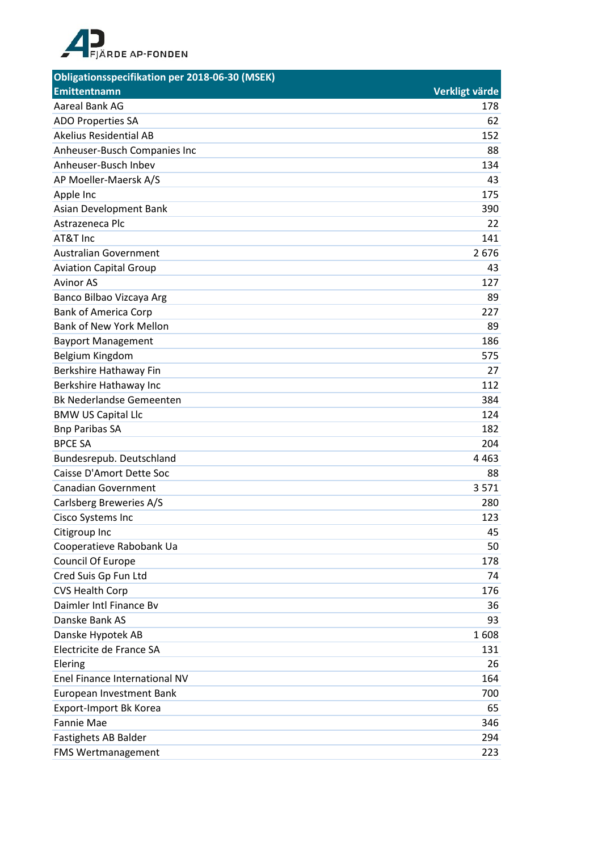

| <b>Obligationsspecifikation per 2018-06-30 (MSEK)</b> |                |
|-------------------------------------------------------|----------------|
| <b>Emittentnamn</b>                                   | Verkligt värde |
| Aareal Bank AG                                        | 178            |
| ADO Properties SA                                     | 62             |
| <b>Akelius Residential AB</b>                         | 152            |
| Anheuser-Busch Companies Inc                          | 88             |
| Anheuser-Busch Inbev                                  | 134            |
| AP Moeller-Maersk A/S                                 | 43             |
| Apple Inc                                             | 175            |
| Asian Development Bank                                | 390            |
| Astrazeneca Plc                                       | 22             |
| AT&T Inc                                              | 141            |
| <b>Australian Government</b>                          | 2676           |
| <b>Aviation Capital Group</b>                         | 43             |
| <b>Avinor AS</b>                                      | 127            |
| Banco Bilbao Vizcaya Arg                              | 89             |
| <b>Bank of America Corp</b>                           | 227            |
| <b>Bank of New York Mellon</b>                        | 89             |
| <b>Bayport Management</b>                             | 186            |
| Belgium Kingdom                                       | 575            |
| Berkshire Hathaway Fin                                | 27             |
| Berkshire Hathaway Inc                                | 112            |
| <b>Bk Nederlandse Gemeenten</b>                       | 384            |
| <b>BMW US Capital Llc</b>                             | 124            |
| <b>Bnp Paribas SA</b>                                 | 182            |
| <b>BPCE SA</b>                                        | 204            |
| Bundesrepub. Deutschland                              | 4 4 6 3        |
| Caisse D'Amort Dette Soc                              | 88             |
| <b>Canadian Government</b>                            | 3571           |
| Carlsberg Breweries A/S                               | 280            |
| Cisco Systems Inc                                     | 123            |
| Citigroup Inc                                         | 45             |
| Cooperatieve Rabobank Ua                              | 50             |
| Council Of Europe                                     | 178            |
| Cred Suis Gp Fun Ltd                                  | 74             |
| <b>CVS Health Corp</b>                                | 176            |
| Daimler Intl Finance By                               | 36             |
| Danske Bank AS                                        | 93             |
| Danske Hypotek AB                                     | 1608           |
| Electricite de France SA                              | 131            |
| Elering                                               | 26             |
| Enel Finance International NV                         | 164            |
| European Investment Bank                              | 700            |
| Export-Import Bk Korea                                | 65             |
| Fannie Mae                                            | 346            |
| Fastighets AB Balder                                  | 294            |
| <b>FMS Wertmanagement</b>                             | 223            |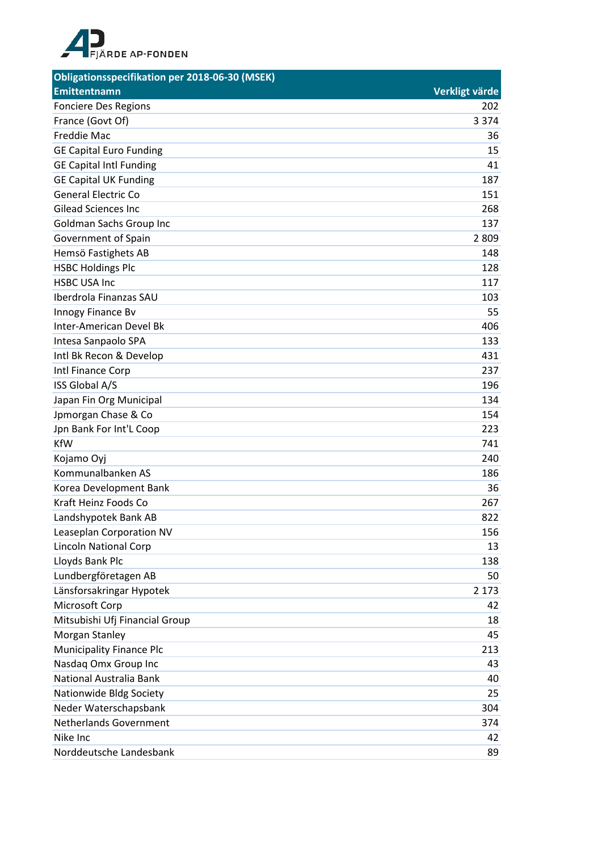

| Obligationsspecifikation per 2018-06-30 (MSEK) |                |
|------------------------------------------------|----------------|
| <b>Emittentnamn</b>                            | Verkligt värde |
| <b>Fonciere Des Regions</b>                    | 202            |
| France (Govt Of)                               | 3 3 7 4        |
| <b>Freddie Mac</b>                             | 36             |
| <b>GE Capital Euro Funding</b>                 | 15             |
| <b>GE Capital Intl Funding</b>                 | 41             |
| <b>GE Capital UK Funding</b>                   | 187            |
| <b>General Electric Co</b>                     | 151            |
| <b>Gilead Sciences Inc.</b>                    | 268            |
| Goldman Sachs Group Inc                        | 137            |
| Government of Spain                            | 2 8 0 9        |
| Hemsö Fastighets AB                            | 148            |
| <b>HSBC Holdings Plc</b>                       | 128            |
| <b>HSBC USA Inc</b>                            | 117            |
| Iberdrola Finanzas SAU                         | 103            |
| Innogy Finance Bv                              | 55             |
| Inter-American Devel Bk                        | 406            |
| Intesa Sanpaolo SPA                            | 133            |
| Intl Bk Recon & Develop                        | 431            |
| Intl Finance Corp                              | 237            |
| ISS Global A/S                                 | 196            |
| Japan Fin Org Municipal                        | 134            |
| Jpmorgan Chase & Co                            | 154            |
| Jpn Bank For Int'L Coop                        | 223            |
| <b>KfW</b>                                     | 741            |
| Kojamo Oyj                                     | 240            |
| Kommunalbanken AS                              | 186            |
| Korea Development Bank                         | 36             |
| Kraft Heinz Foods Co                           | 267            |
| Landshypotek Bank AB                           | 822            |
| Leaseplan Corporation NV                       | 156            |
| <b>Lincoln National Corp</b>                   | 13             |
| Lloyds Bank Plc                                | 138            |
| Lundbergföretagen AB                           | 50             |
| Länsforsakringar Hypotek                       | 2 1 7 3        |
| Microsoft Corp                                 | 42             |
| Mitsubishi Ufj Financial Group                 | 18             |
| Morgan Stanley                                 | 45             |
| <b>Municipality Finance Plc</b>                | 213            |
| Nasdaq Omx Group Inc                           | 43             |
| National Australia Bank                        | 40             |
| Nationwide Bldg Society                        | 25             |
| Neder Waterschapsbank                          | 304            |
| <b>Netherlands Government</b>                  | 374            |
| Nike Inc                                       | 42             |
| Norddeutsche Landesbank                        | 89             |